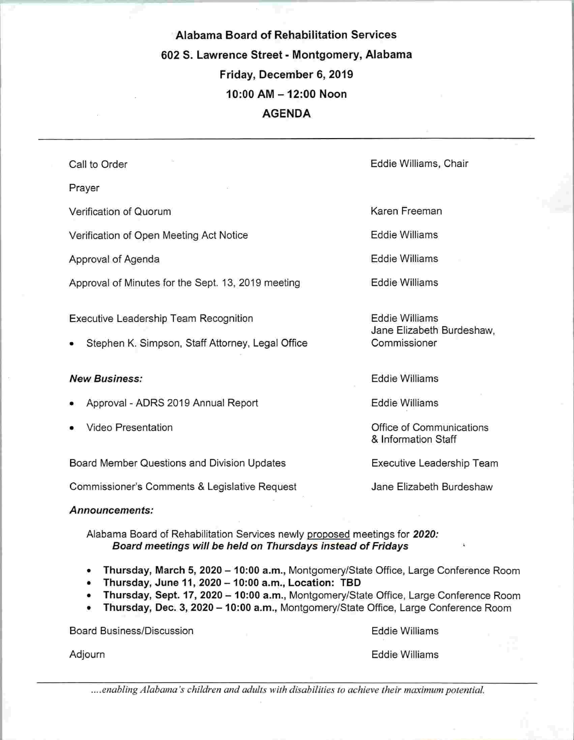Alabama Board of Rehabilitation Services 602 3. Lawrence Street - Montgomery, Alabama Friday, December 6, 2019 10:00 AM-12:00 Noon AGENDA

Call to Order Prayer Verification of Quorum Verification of Open Meeting Act Notice Approval of Agenda Approval of Minutes for the Sept. 13, 2019 meeting Eddie Williams, Chair Karen Freeman Eddie Williams Eddie Williams Eddie Williams Executive Leadership Team Recognition Stephen K. Simpson, Staff Attorney, Legal Office Eddie Williams Jane Elizabeth Burdeshaw, Commissioner

#### New Business:

- Approval ADRS 2019 Annual Report
- Video Presentation

Board Member Questions and Division Updates

Commissioner's Comments & Legislative Request

Announcements:

Alabama Board of Rehabilitation Services newly proposed meetings for 2020: Board meetings will be held on Thursdays instead of Fridays '

- Thursday, March 5, 2020 10:00 a.m., Montgomery/State Office, Large Conference Room
- Thursday, June 11, 2020 10:00 a.m., Location: TBD
- Thursday, Sept. 17, 2020 10:00 a.m., Montgomery/State Office, Large Conference Room
- Thursday, Dec. 3,2020 -10:00 a.m., Montgomery/State Office, Large Conference Room

Board Business/Discussion

Eddie Williams

Adjourn

Eddie Williams

....enabling Alabama's children and adults with disabilities to achieve their maximum potential.

Eddie Williams

Eddie Williams

Office of Communications & Information Staff

Executive Leadership Team

Jane Elizabeth Burdeshaw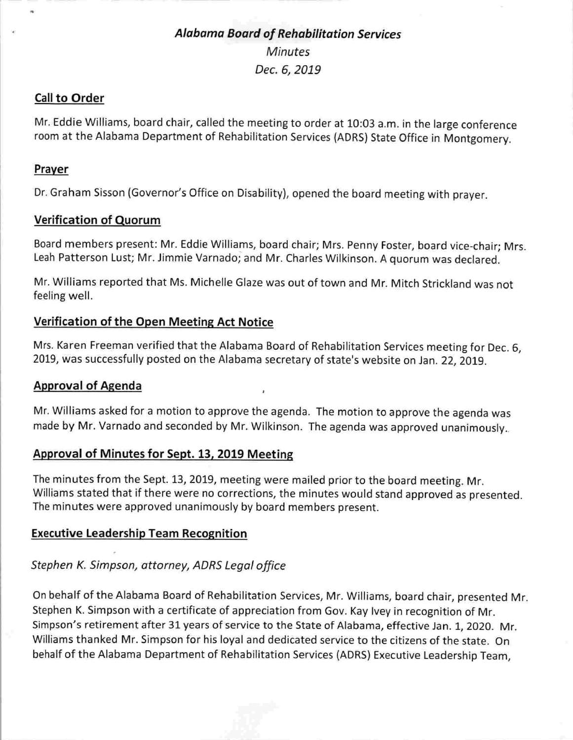## Alabama Board of Rehabilitation Services **Minutes** Dec. 6, 2019

### Call to Order

Mr. Eddie Williams, board chair, called the meeting to order at 10:03 a.m. in the large conference room at the Alabama Department of Rehabilitation Services (ADRS) State Office in Montgomery.

### **Prayer**

Dr. Graham Sisson (Governor's Office on Disability), opened the board meeting with prayer.

### Verification of Quorum

Board members present: Mr. Eddie Williams, board chair; Mrs. Penny Foster, board vice-chair; Mrs. Leah Patterson Lust; Mr. Jimmie Varnado; and Mr. Charles Wilkinson. A quorum was declared.

Mr. Williams reported that Ms. Michelle Glaze was out of town and Mr. Mitch Strickland was not feeling well.

### Verification of the Open Meeting Act Notice

Mrs. Karen Freeman verified that the Alabama Board of Rehabilitation Services meeting for Dec. 6, 2019, was successfully posted on the Alabama secretary of state's website on Jan. 22, 2019.

### Approval of Agenda

Mr. Williams asked for a motion to approve the agenda. The motion to approve the agenda was made by Mr. Varnado and seconded by Mr. Wilkinson. The agenda was approved unanimously..

### Approval of Minutes for Sept. 13, 2019 Meeting

The minutes from the Sept. 13, 2019, meeting were mailed prior to the board meeting. Mr. Williams stated that if there were no corrections, the minutes would stand approved as presented. The minutes were approved unanimously by board members present.

### Executive Leadership Team Recognition

### Stephen K. Simpson, attorney, ADRS Legal office

On behalf of the Alabama Board of Rehabilitation Services, Mr. Williams, board chair, presented Mr. Stephen K. Simpson with a certificate of appreciation from Gov. Kay Ivey in recognition of Mr. Simpson's retirement after 31 years of service to the State of Alabama, effective Jan. 1, 2020. Mr. Williams thanked Mr. Simpson for his loyal and dedicated service to the citizens of the state. On behalf of the Alabama Department of Rehabilitation Services (ADRS) Executive Leadership Team,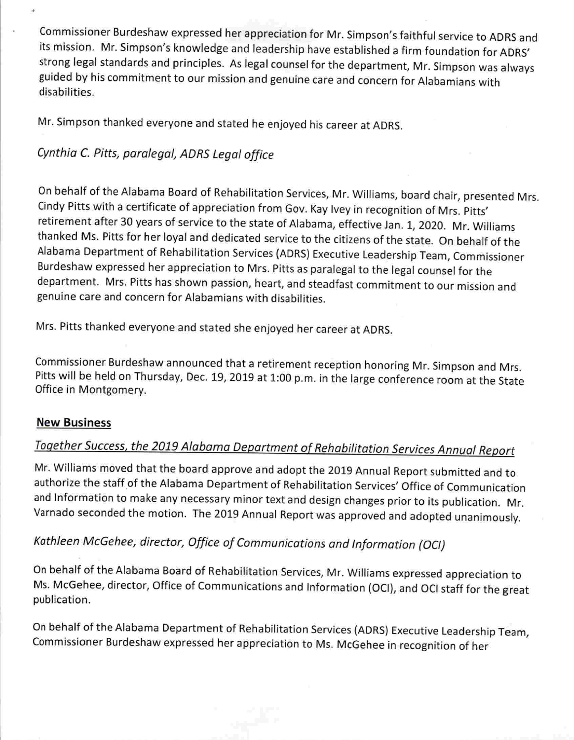Commissioner Burdeshaw expressed her appreciation for Mr. Simpson's faithful service to ADRS and its mission. Mr. Simpson's knowledge and leadership have established a firm foundation for ADRS' strong legal standards and principles. As legal counsel for the department, Mr. Simpson was always guided by his commitment to our mission and genuine care and concern for Alabamians with disabilities.

Mr. Simpson thanked everyone and stated he enjoyed his career at ADRS.

## Cynthia C. Pitts, paralegal, ADRS Legal office

On behalf of the Alabama Board of Rehabilitation Services, Mr. Williams, board chair, presented Mrs. Cindy Pitts with a certificate of appreciation from Gov. Kay Ivey in recognition of Mrs. Pitts' retirement after 30 years of service to the state of Alabama, effective Jan. 1, 2020. Mr. Williams thanked Ms. Pitts for her loyal and dedicated service to the citizens of the state. On behalf of the Alabama Department of Rehabilitation Services (ADRS) Executive Leadership Team, Commissioner Burdeshaw expressed her appreciation to Mrs. Pitts as paralegal to the legal counsel for the department. Mrs. Pitts has shown passion, heart, and steadfast commitment to our mission and genuine care and concern for Alabamians with disabilities.

Mrs. Pitts thanked everyone and stated she enjoyed her career at ADRS.

Commissioner Burdeshaw announced that a retirement reception honoring Mr. Simpson and Mrs Pitts will be held on Thursday, Dec. 19, 2019 at 1:00 p.m. in the large conference room at the State Office in Montgomery.

### New Business

# Together Success, the 2019 Alabama Department of Rehabilitation Services Annual Report

Mr. Williams moved that the board approve and adopt the 2019 Annual Report submitted and to authorize the staff of the Alabama Department of Rehabilitation Services' Office of Communication and Information to make any necessary minor text and design changes prior to its publication. Mr. Varnado seconded the motion. The 2019 Annual Report was approved and adopted unanimously.

## Kathleen McGehee, director. Office of Communications and Information (OCI)

On behalf of the Alabama Board of Rehabilitation Services, Mr. Williams expressed appreciation to Ms. McGehee, director, Office of Communications and Information (OCI), and OCI staff for the great publication.

On behalf of the Alabama Department of Rehabilitation Services (ADRS) Executive Leadership Team, Commissioner Burdeshaw expressed her appreciation to Ms. McGehee in recognition of her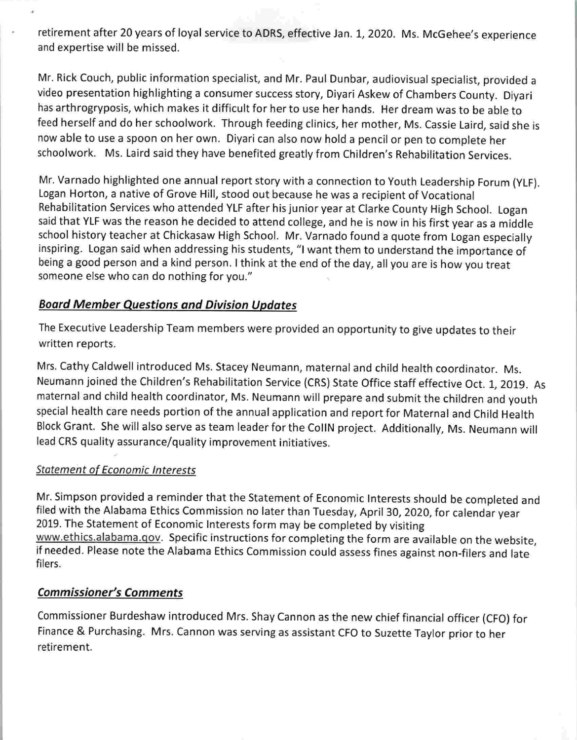retirement after 20 years of loyal service to ADRS, effective Jan. 1, 2020. Ms. McGehee's experience and expertise will be missed.

Mr. Rick Couch, public information specialist, and Mr. Paul Dunbar, audiovisual specialist, provided a video presentation highlighting a consumer success story, Diyari Askew of Chambers County. Diyari has arthrogryposis, which makes it difficult for her to use her hands. Her dream was to be able to feed herself and do her schoolwork. Through feeding clinics, her mother, Ms. Cassie Laird, said she is now able to use a spoon on her own. Diyari can also now hold a pencil or pen to complete her schoolwork. Ms. Laird said they have benefited greatly from Children's Rehabilitation Services.

Mr. Varnado highlighted one annual report story with a connection to Youth Leadership Forum (VLF). Logan Norton, a native of Grove Hill, stood out because he was a recipient of Vocational Rehabilitation Services who attended VLF after his junior year at Clarke County High School. Logan said that VLF was the reason he decided to attend college, and he is now in his first year as a middle school history teacher at Chickasaw High School. Mr. Varnado found a quote from Logan especially inspiring. Logan said when addressing his students, "I want them to understand the importance of being a good person and a kind person. I think at the end of the day, all you are is how you treat someone else who can do nothing for you."

### Board Member Questions and Division Updates

The Executive Leadership Team members were provided an opportunity to give updates to their written reports.

Mrs. Cathy Caldwell introduced Ms. Stacey Neumann, maternal and child health coordinator. Ms. Neumann joined the Children's Rehabilitation Service (CRS) State Office staff effective Oct. 1, 2019. As maternal and child health coordinator, Ms. Neumann will prepare and submit the children and youth special health care needs portion of the annual application and report for Maternal and Child Health Block Grant. She will also serve as team leader for the CollN project. Additionally, Ms. Neumann will lead CRS quality assurance/quality improvement initiatives.

### Statement of Economic Interests

Mr. Simpson provided a reminder that the Statement of Economic Interests should be completed and filed with the Alabama Ethics Commission no later than Tuesday, April 30, 2020, for calendar year 2019. The Statement of Economic interests form may be completed by visiting www.ethics.alabama.gov. Specific instructions for completing the form are available on the website, if needed. Please note the Alabama Ethics Commission could assess fines against non-filers and late filers.

### Commissioner's Comments

Commissioner Burdeshaw introduced Mrs. Shay Cannon as the new chief financial officer (CFO) for Finance & Purchasing. Mrs. Cannon was serving as assistant CFO to Suzette Taylor prior to her retirement.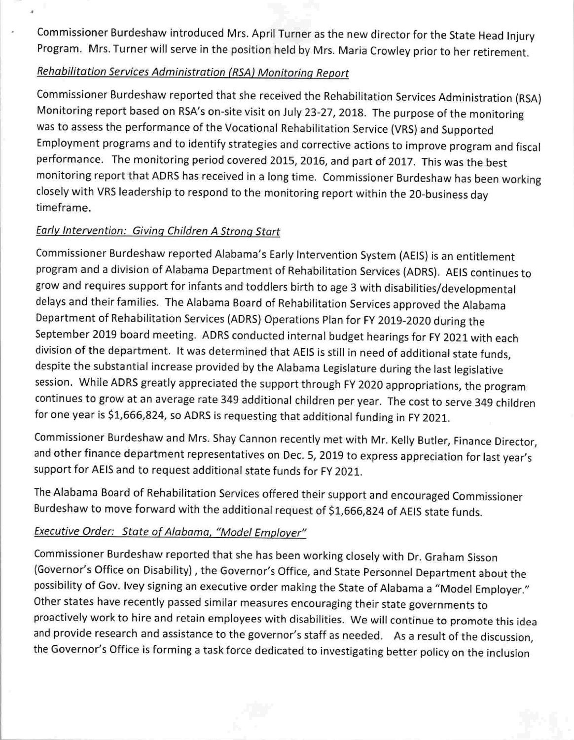Commissioner Burdeshaw introduced Mrs. April Turner as the new director for the State Head Injury Program. Mrs. Turner will serve in the position held by Mrs. Maria Crowley prior to her retirement.

## Rehabilitation Services Administration (RSA) Monitoring Report

Commissioner Burdeshaw reported that she received the Rehabilitation Services Administration (RSA) Monitoring report based on RSA's on-site visit on July 23-27, 2018. The purpose of the monitoring was to assess the performance of the Vocational Rehabilitation Service (VRS) and Supported Employment programs and to identify strategies and corrective actions to improve program and fiscal performance. The monitoring period covered 2015, 2016, and part of 2017. This was the best monitoring report that ADRS has received in a long time. Commissioner Burdeshaw has been working closely with VRS leadership to respond to the monitoring report within the 20-buslness day timeframe.

### Early Intervention: Givina Children A Strong Start

Commissioner Burdeshaw reported Alabama's Early Intervention System (AEIS) is an entitlement program and a division of Alabama Department of Rehabilitation Services (ADRS). AEIS continues to grow and requires support for infants and toddlers birth to age 3 with disabilities/developmental delays and their families. The Alabama Board of Rehabilitation Services approved the Alabama Department of Rehabilitation Services (ADRS) Operations Plan for FY 2019-2020 during the September 2019 board meeting. ADRS conducted internal budget hearings for FY 2021 with each division of the department. It was determined that AEIS is still in need of additional state funds, despite the substantial increase provided by the Alabama Legislature during the last legislative session. While ADRS greatly appreciated the support through FY 2020 appropriations, the program continues to grow at an average rate 349 additional children per year. The cost to serve 349 children for one year is \$1,666,824, so ADRS is requesting that additional funding in FY 2021.

Commissioner Burdeshaw and Mrs. Shay Cannon recently met with Mr. Kelly Butler, Finance Director, and other finance department representatives on Dec. 5, 2019 to express appreciation for last year's support for AEIS and to request additional state funds for FY 2021.

The Alabama Board of Rehabilitation Services offered their support and encouraged Commissioner Burdeshaw to move forward with the additional request of \$1,666,824 of AEIS state funds.

### Executive Order: State of Alabama, "Model Employer"

Commissioner Burdeshaw reported that she has been working closely with Dr. Graham Sisson (Governor's Office on Disability), the Governor's Office, and State Personnel Department about the possibility of Gov. Ivey signing an executive order making the State of Alabama a "Model Employer." Other states have recently passed similar measures encouraging their state governments to proactively work to hire and retain employees with disabilities. We will continue to promote this idea and provide research and assistance to the governor's staff as needed. As a result of the discussion, the Governor's Office is forming a task force dedicated to investigating better policy on the inclusion